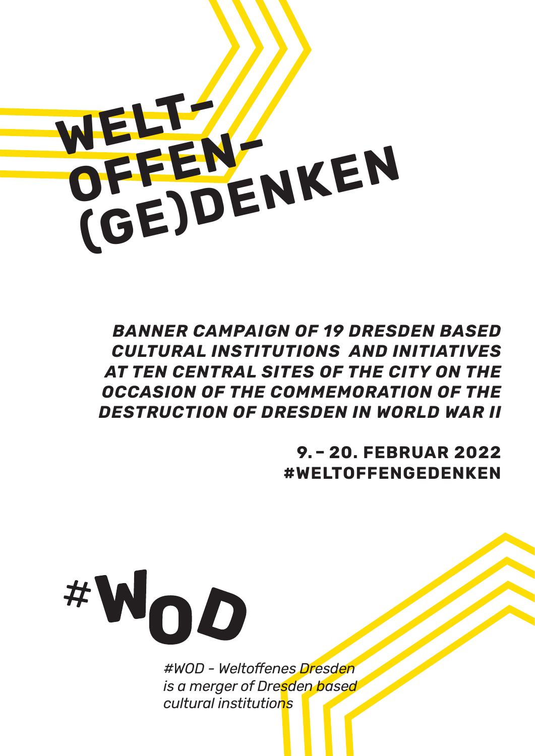

*BANNER CAMPAIGN OF 19 DRESDEN BASED CULTURAL INSTITUTIONS AND INITIATIVES AT TEN CENTRAL SITES OF THE CITY ON THE OCCASION OF THE COMMEMORATION OF THE DESTRUCTION OF DRESDEN IN WORLD WAR II*

> **9. – 20. FEBRUAR 2022 #WELTOFFENGEDENKEN**



*#WOD - Weltoffenes Dresden is a merger of Dresden based cultural institutions*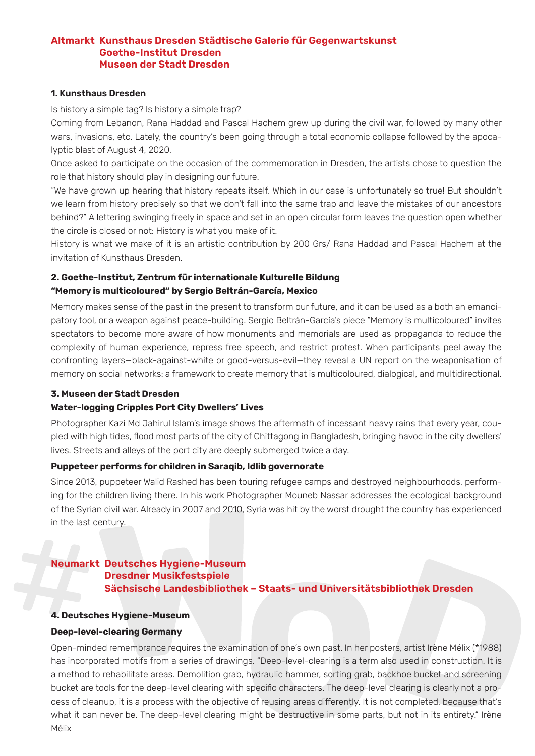## **Altmarkt Kunsthaus Dresden Städtische Galerie für Gegenwartskunst Goethe-Institut Dresden Museen der Stadt Dresden**

## **1. Kunsthaus Dresden**

Is history a simple tag? Is history a simple trap?

Coming from Lebanon, Rana Haddad and Pascal Hachem grew up during the civil war, followed by many other wars, invasions, etc. Lately, the country's been going through a total economic collapse followed by the apocalyptic blast of August 4, 2020.

Once asked to participate on the occasion of the commemoration in Dresden, the artists chose to question the role that history should play in designing our future.

"We have grown up hearing that history repeats itself. Which in our case is unfortunately so true! But shouldn't we learn from history precisely so that we don't fall into the same trap and leave the mistakes of our ancestors behind?" A lettering swinging freely in space and set in an open circular form leaves the question open whether the circle is closed or not: History is what you make of it.

History is what we make of it is an artistic contribution by 200 Grs/ Rana Haddad and Pascal Hachem at the invitation of Kunsthaus Dresden.

# **2. Goethe-Institut, Zentrum für internationale Kulturelle Bildung "Memory is multicoloured" by Sergio Beltrán-García, Mexico**

Memory makes sense of the past in the present to transform our future, and it can be used as a both an emancipatory tool, or a weapon against peace-building. Sergio Beltrán-García's piece "Memory is multicoloured" invites spectators to become more aware of how monuments and memorials are used as propaganda to reduce the complexity of human experience, repress free speech, and restrict protest. When participants peel away the confronting layers—black-against-white or good-versus-evil—they reveal a UN report on the weaponisation of memory on social networks: a framework to create memory that is multicoloured, dialogical, and multidirectional.

# **3. Museen der Stadt Dresden**

### **Water-logging Cripples Port City Dwellers' Lives**

Photographer Kazi Md Jahirul Islam's image shows the aftermath of incessant heavy rains that every year, coupled with high tides, flood most parts of the city of Chittagong in Bangladesh, bringing havoc in the city dwellers' lives. Streets and alleys of the port city are deeply submerged twice a day.

### **Puppeteer performs for children in Saraqib, Idlib governorate**

Since 2013, puppeteer Walid Rashed has been touring refugee camps and destroyed neighbourhoods, performing for the children living there. In his work Photographer Mouneb Nassar addresses the ecological background of the Syrian civil war. Already in 2007 and 2010, Syria was hit by the worst drought the country has experienced in the last century.

### **Neumarkt Deutsches Hygiene-Museum Dresdner Musikfestspiele**

**Sächsische Landesbibliothek – Staats- und Universitätsbibliothek Dresden**

### **4. Deutsches Hygiene-Museum**

### **Deep-level-clearing Germany**

Open-minded remembrance requires the examination of one's own past. In her posters, artist Irène Mélix (\*1988) has incorporated motifs from a series of drawings. "Deep-level-clearing is a term also used in construction. It is a method to rehabilitate areas. Demolition grab, hydraulic hammer, sorting grab, backhoe bucket and screening bucket are tools for the deep-level clearing with specific characters. The deep-level clearing is clearly not a process of cleanup, it is a process with the objective of reusing areas differently. It is not completed, because that's what it can never be. The deep-level clearing might be destructive in some parts, but not in its entirety." Irène Mélix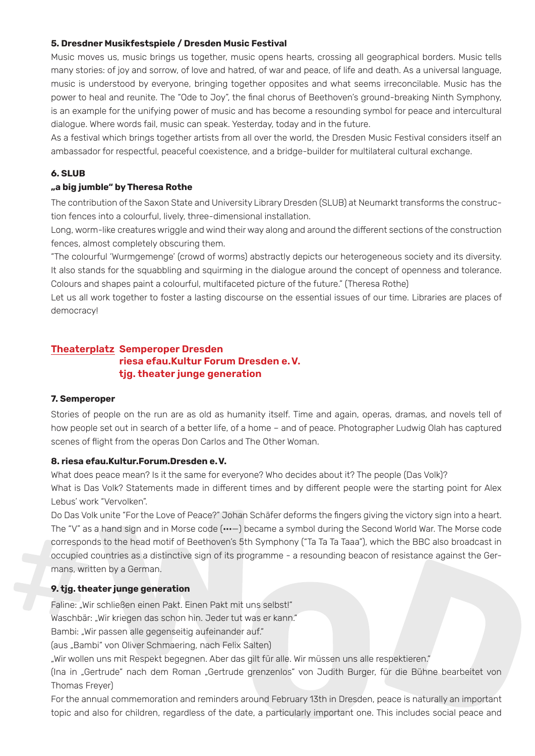# **5. Dresdner Musikfestspiele / Dresden Music Festival**

Music moves us, music brings us together, music opens hearts, crossing all geographical borders. Music tells many stories: of joy and sorrow, of love and hatred, of war and peace, of life and death. As a universal language, music is understood by everyone, bringing together opposites and what seems irreconcilable. Music has the power to heal and reunite. The "Ode to Joy", the final chorus of Beethoven's ground-breaking Ninth Symphony, is an example for the unifying power of music and has become a resounding symbol for peace and intercultural dialogue. Where words fail, music can speak. Yesterday, today and in the future.

As a festival which brings together artists from all over the world, the Dresden Music Festival considers itself an ambassador for respectful, peaceful coexistence, and a bridge-builder for multilateral cultural exchange.

# **6. SLUB**

# **"a big jumble" by Theresa Rothe**

The contribution of the Saxon State and University Library Dresden (SLUB) at Neumarkt transforms the construction fences into a colourful, lively, three-dimensional installation.

Long, worm-like creatures wriggle and wind their way along and around the different sections of the construction fences, almost completely obscuring them.

"The colourful 'Wurmgemenge' (crowd of worms) abstractly depicts our heterogeneous society and its diversity. It also stands for the squabbling and squirming in the dialogue around the concept of openness and tolerance. Colours and shapes paint a colourful, multifaceted picture of the future." (Theresa Rothe)

Let us all work together to foster a lasting discourse on the essential issues of our time. Libraries are places of democracy!

# **Theaterplatz Semperoper Dresden riesa efau.Kultur Forum Dresden e.V. tjg. theater junge generation**

### **7. Semperoper**

Stories of people on the run are as old as humanity itself. Time and again, operas, dramas, and novels tell of how people set out in search of a better life, of a home – and of peace. Photographer Ludwig Olah has captured scenes of flight from the operas Don Carlos and The Other Woman.

### **8. riesa efau.Kultur.Forum.Dresden e.V.**

What does peace mean? Is it the same for everyone? Who decides about it? The people (Das Volk)? What is Das Volk? Statements made in different times and by different people were the starting point for Alex Lebus' work "Vervolken".

Do Das Volk unite "For the Love of Peace?" Johan Schäfer deforms the fingers giving the victory sign into a heart. The "V" as a hand sign and in Morse code ( $\cdots$ ) became a symbol during the Second World War. The Morse code corresponds to the head motif of Beethoven's 5th Symphony ("Ta Ta Ta Taaa"), which the BBC also broadcast in occupied countries as a distinctive sign of its programme - a resounding beacon of resistance against the Germans, written by a German.

# **9. tjg. theater junge generation**

Faline: "Wir schließen einen Pakt. Einen Pakt mit uns selbst!"

Waschbär: "Wir kriegen das schon hin. Jeder tut was er kann."

Bambi: "Wir passen alle gegenseitig aufeinander auf."

(aus "Bambi" von Oliver Schmaering, nach Felix Salten)

"Wir wollen uns mit Respekt begegnen. Aber das gilt für alle. Wir müssen uns alle respektieren."

(Ina in "Gertrude" nach dem Roman "Gertrude grenzenlos" von Judith Burger, für die Bühne bearbeitet von Thomas Freyer)

For the annual commemoration and reminders around February 13th in Dresden, peace is naturally an important topic and also for children, regardless of the date, a particularly important one. This includes social peace and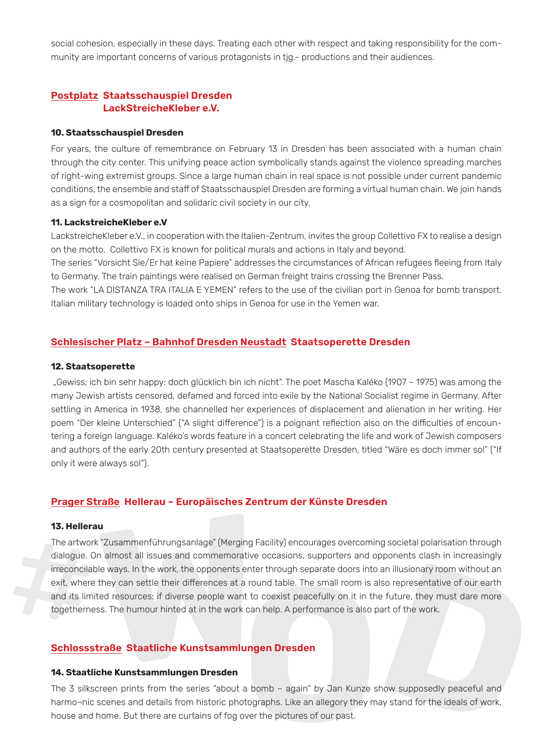social cohesion, especially in these days. Treating each other with respect and taking responsibility for the community are important concerns of various protagonists in tjg.- productions and their audiences.

# **Postplatz Staatsschauspiel Dresden LackStreicheKleber e.V.**

#### **10. Staatsschauspiel Dresden**

For years, the culture of remembrance on February 13 in Dresden has been associated with a human chain through the city center. This unifying peace action symbolically stands against the violence spreading marches of right-wing extremist groups. Since a large human chain in real space is not possible under current pandemic conditions, the ensemble and staff of Staatsschauspiel Dresden are forming a virtual human chain. We join hands as a sign for a cosmopolitan and solidaric civil society in our city.

### **11. LackstreicheKleber e.V**

LackstreicheKleber e.V., in cooperation with the Italien-Zentrum, invites the group Collettivo FX to realise a design on the motto. Collettivo FX is known for political murals and actions in Italy and beyond.

The series "Vorsicht Sie/Er hat keine Papiere" addresses the circumstances of African refugees fleeing from Italy to Germany. The train paintings were realised on German freight trains crossing the Brenner Pass.

The work "LA DISTANZA TRA ITALIA E YEMEN" refers to the use of the civilian port in Genoa for bomb transport. Italian military technology is loaded onto ships in Genoa for use in the Yemen war.

# **Schlesischer Platz – Bahnhof Dresden Neustadt Staatsoperette Dresden**

#### **12. Staatsoperette**

 "Gewiss, ich bin sehr happy: doch glücklich bin ich nicht". The poet Mascha Kaléko (1907 – 1975) was among the many Jewish artists censored, defamed and forced into exile by the National Socialist regime in Germany. After settling in America in 1938, she channelled her experiences of displacement and alienation in her writing. Her poem "Der kleine Unterschied" ("A slight difference") is a poignant reflection also on the difficulties of encountering a foreign language. Kaléko's words feature in a concert celebrating the life and work of Jewish composers and authors of the early 20th century presented at Staatsoperette Dresden, titled "Wäre es doch immer so!" ("If only it were always so!").

# **Prager Straße Hellerau – Europäisches Zentrum der Künste Dresden**

#### **13. Hellerau**

The artwork "Zusammenführungsanlage" (Merging Facility) encourages overcoming societal polarisation through dialogue. On almost all issues and commemorative occasions, supporters and opponents clash in increasingly irreconcilable ways. In the work, the opponents enter through separate doors into an illusionary room without an exit, where they can settle their differences at a round table. The small room is also representative of our earth and its limited resources: if diverse people want to coexist peacefully on it in the future, they must dare more togetherness. The humour hinted at in the work can help. A performance is also part of the work.

## **Schlossstraße Staatliche Kunstsammlungen Dresden**

#### **14. Staatliche Kunstsammlungen Dresden**

The 3 silkscreen prints from the series "about a bomb – again" by Jan Kunze show supposedly peaceful and harmo¬nic scenes and details from historic photographs. Like an allegory they may stand for the ideals of work, house and home. But there are curtains of fog over the pictures of our past.